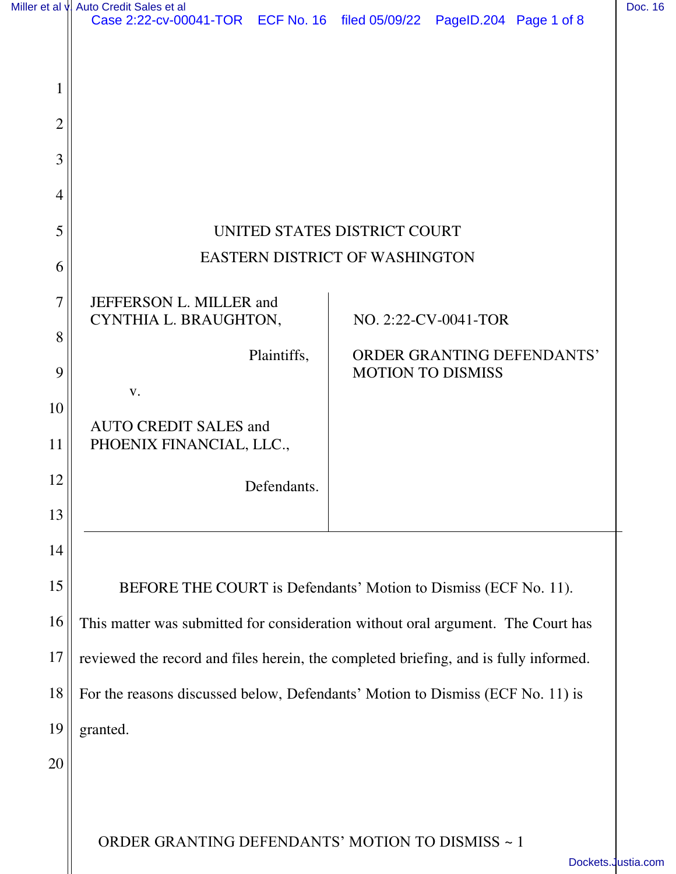|                | Miller et al v. Auto Credit Sales et al<br>Case 2:22-cv-00041-TOR ECF No. 16 filed 05/09/22 PageID.204 Page 1 of 8 |             |                          |                      |                                   | Doc. 16            |
|----------------|--------------------------------------------------------------------------------------------------------------------|-------------|--------------------------|----------------------|-----------------------------------|--------------------|
|                |                                                                                                                    |             |                          |                      |                                   |                    |
|                |                                                                                                                    |             |                          |                      |                                   |                    |
| $\overline{2}$ |                                                                                                                    |             |                          |                      |                                   |                    |
| 3              |                                                                                                                    |             |                          |                      |                                   |                    |
| 4              |                                                                                                                    |             |                          |                      |                                   |                    |
| 5              |                                                                                                                    |             |                          |                      |                                   |                    |
|                | UNITED STATES DISTRICT COURT                                                                                       |             |                          |                      |                                   |                    |
| 6              | <b>EASTERN DISTRICT OF WASHINGTON</b>                                                                              |             |                          |                      |                                   |                    |
| 7              | JEFFERSON L. MILLER and<br>CYNTHIA L. BRAUGHTON,                                                                   |             |                          | NO. 2:22-CV-0041-TOR |                                   |                    |
| 8              |                                                                                                                    |             |                          |                      |                                   |                    |
| 9              |                                                                                                                    | Plaintiffs, | <b>MOTION TO DISMISS</b> |                      | <b>ORDER GRANTING DEFENDANTS'</b> |                    |
| 10             | V.                                                                                                                 |             |                          |                      |                                   |                    |
| 11             | <b>AUTO CREDIT SALES and</b><br>PHOENIX FINANCIAL, LLC.,                                                           |             |                          |                      |                                   |                    |
| 12             |                                                                                                                    | Defendants. |                          |                      |                                   |                    |
| 13             |                                                                                                                    |             |                          |                      |                                   |                    |
| 14             |                                                                                                                    |             |                          |                      |                                   |                    |
| 15             | BEFORE THE COURT is Defendants' Motion to Dismiss (ECF No. 11).                                                    |             |                          |                      |                                   |                    |
| 16             | This matter was submitted for consideration without oral argument. The Court has                                   |             |                          |                      |                                   |                    |
| 17             | reviewed the record and files herein, the completed briefing, and is fully informed.                               |             |                          |                      |                                   |                    |
| 18             | For the reasons discussed below, Defendants' Motion to Dismiss (ECF No. 11) is                                     |             |                          |                      |                                   |                    |
| 19             | granted.                                                                                                           |             |                          |                      |                                   |                    |
| 20             |                                                                                                                    |             |                          |                      |                                   |                    |
|                |                                                                                                                    |             |                          |                      |                                   |                    |
|                | ORDER GRANTING DEFENDANTS' MOTION TO DISMISS ~ 1                                                                   |             |                          |                      |                                   |                    |
|                |                                                                                                                    |             |                          |                      |                                   | Dockets.Justia.com |

Dockets.<br>Justia.com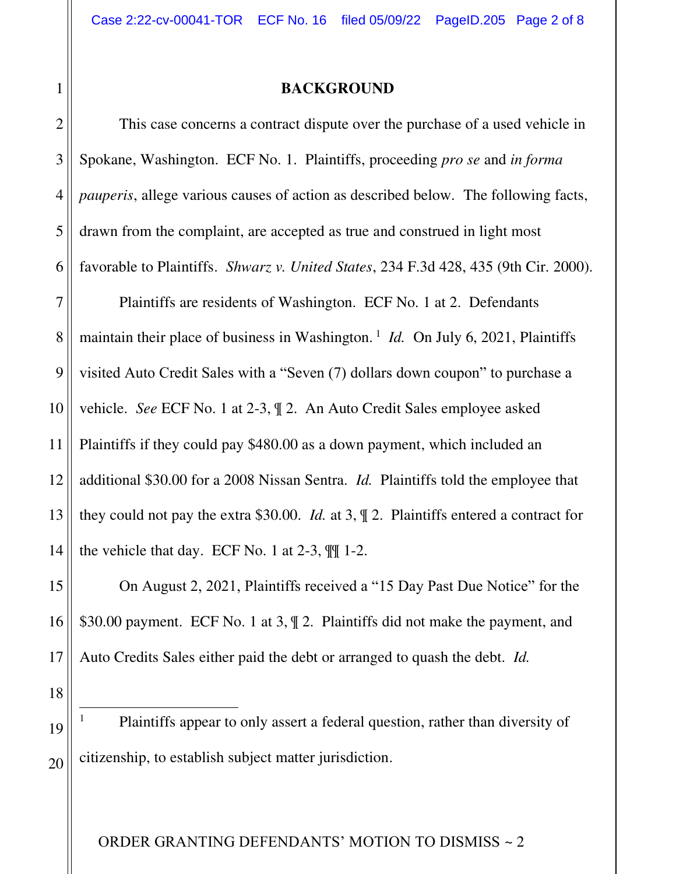## **BACKGROUND**

 This case concerns a contract dispute over the purchase of a used vehicle in Spokane, Washington. ECF No. 1. Plaintiffs, proceeding *pro se* and *in forma pauperis*, allege various causes of action as described below. The following facts, drawn from the complaint, are accepted as true and construed in light most favorable to Plaintiffs. *Shwarz v. United States*, 234 F.3d 428, 435 (9th Cir. 2000).

7 8 9 10 12 13 14 Plaintiffs are residents of Washington. ECF No. 1 at 2. Defendants maintain their place of business in Washington.<sup>1</sup> *Id.* On July 6, 2021, Plaintiffs visited Auto Credit Sales with a "Seven (7) dollars down coupon" to purchase a vehicle. *See* ECF No. 1 at 2-3, ¶ 2. An Auto Credit Sales employee asked Plaintiffs if they could pay \$480.00 as a down payment, which included an additional \$30.00 for a 2008 Nissan Sentra. *Id.* Plaintiffs told the employee that they could not pay the extra \$30.00. *Id.* at 3, ¶ 2. Plaintiffs entered a contract for the vehicle that day. ECF No. 1 at  $2-3$ ,  $\mathbb{I}$  1-2.

15 16 17 On August 2, 2021, Plaintiffs received a "15 Day Past Due Notice" for the \$30.00 payment. ECF No. 1 at 3, ¶ 2. Plaintiffs did not make the payment, and Auto Credits Sales either paid the debt or arranged to quash the debt. *Id.* 

18

19

20

1 Plaintiffs appear to only assert a federal question, rather than diversity of citizenship, to establish subject matter jurisdiction.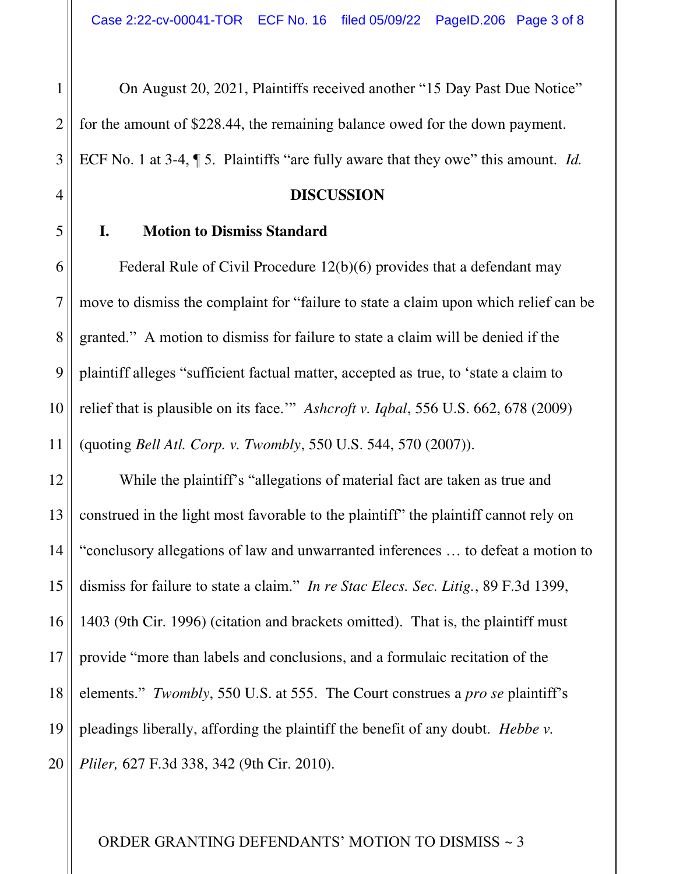On August 20, 2021, Plaintiffs received another "15 Day Past Due Notice" for the amount of \$228.44, the remaining balance owed for the down payment. ECF No. 1 at 3-4, ¶ 5. Plaintiffs "are fully aware that they owe" this amount. *Id.* 

#### **DISCUSSION**

#### **I. Motion to Dismiss Standard**

1

2

3

4

5

7

8

9

10

11

6 Federal Rule of Civil Procedure 12(b)(6) provides that a defendant may move to dismiss the complaint for "failure to state a claim upon which relief can be granted." A motion to dismiss for failure to state a claim will be denied if the plaintiff alleges "sufficient factual matter, accepted as true, to 'state a claim to relief that is plausible on its face.'" *Ashcroft v. Iqbal*, 556 U.S. 662, 678 (2009) (quoting *Bell Atl. Corp. v. Twombly*, 550 U.S. 544, 570 (2007)).

12 13 14 15 16 17 18 19 20 While the plaintiff's "allegations of material fact are taken as true and construed in the light most favorable to the plaintiff' the plaintiff cannot rely on "conclusory allegations of law and unwarranted inferences … to defeat a motion to dismiss for failure to state a claim." *In re Stac Elecs. Sec. Litig.*, 89 F.3d 1399, 1403 (9th Cir. 1996) (citation and brackets omitted). That is, the plaintiff must provide "more than labels and conclusions, and a formulaic recitation of the elements." *Twombly*, 550 U.S. at 555. The Court construes a *pro se* plaintiff's pleadings liberally, affording the plaintiff the benefit of any doubt. *Hebbe v. Pliler,* 627 F.3d 338, 342 (9th Cir. 2010).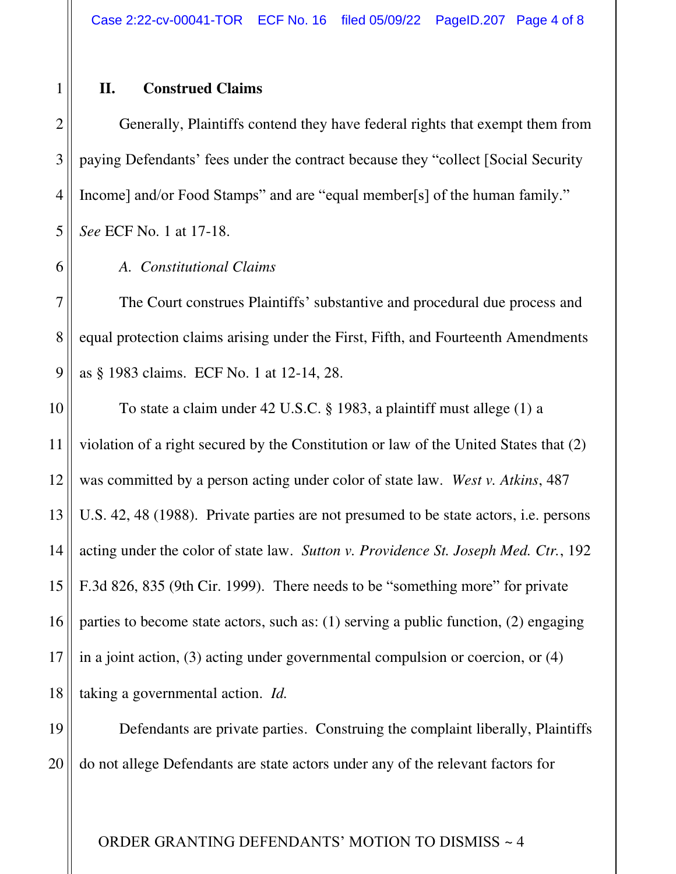## **II. Construed Claims**

1

2

3

4

5

6

7

Generally, Plaintiffs contend they have federal rights that exempt them from paying Defendants' fees under the contract because they "collect [Social Security Income] and/or Food Stamps" and are "equal member[s] of the human family." *See* ECF No. 1 at 17-18.

# *A. Constitutional Claims*

8 9 The Court construes Plaintiffs' substantive and procedural due process and equal protection claims arising under the First, Fifth, and Fourteenth Amendments as § 1983 claims. ECF No. 1 at 12-14, 28.

10 11 12 13 14 15 16 17 18 To state a claim under 42 U.S.C. § 1983, a plaintiff must allege (1) a violation of a right secured by the Constitution or law of the United States that (2) was committed by a person acting under color of state law. *West v. Atkins*, 487 U.S. 42, 48 (1988). Private parties are not presumed to be state actors, i.e. persons acting under the color of state law. *Sutton v. Providence St. Joseph Med. Ctr.*, 192 F.3d 826, 835 (9th Cir. 1999). There needs to be "something more" for private parties to become state actors, such as: (1) serving a public function, (2) engaging in a joint action, (3) acting under governmental compulsion or coercion, or (4) taking a governmental action. *Id.*

19 20 Defendants are private parties. Construing the complaint liberally, Plaintiffs do not allege Defendants are state actors under any of the relevant factors for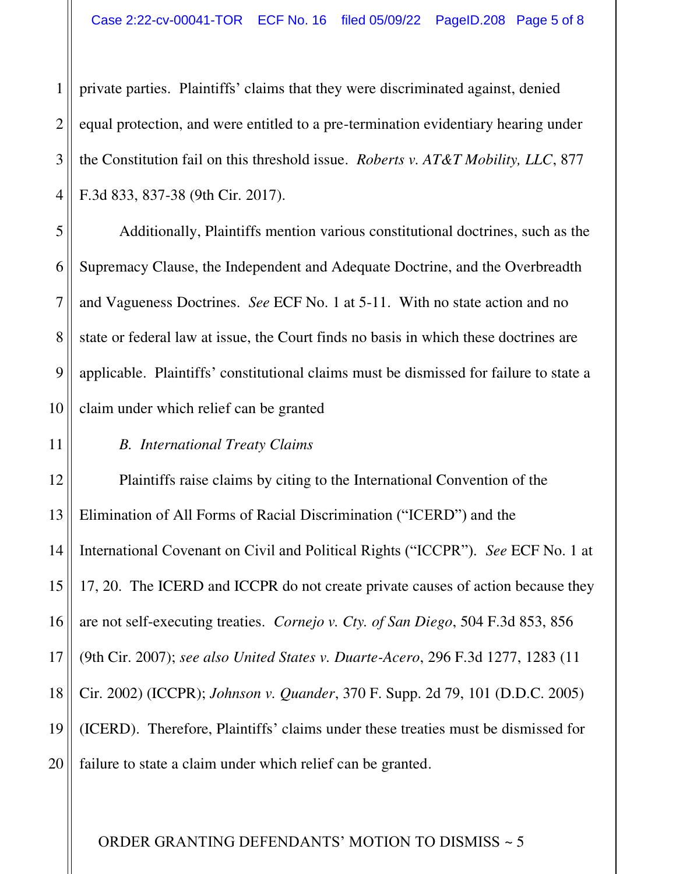4 private parties. Plaintiffs' claims that they were discriminated against, denied equal protection, and were entitled to a pre-termination evidentiary hearing under the Constitution fail on this threshold issue. *Roberts v. AT&T Mobility, LLC*, 877 F.3d 833, 837-38 (9th Cir. 2017).

Additionally, Plaintiffs mention various constitutional doctrines, such as the Supremacy Clause, the Independent and Adequate Doctrine, and the Overbreadth and Vagueness Doctrines. *See* ECF No. 1 at 5-11. With no state action and no state or federal law at issue, the Court finds no basis in which these doctrines are applicable. Plaintiffs' constitutional claims must be dismissed for failure to state a claim under which relief can be granted

# *B. International Treaty Claims*

1

2

3

5

6

7

8

9

10

11

12 13 14 15 16 17 18 19 20 Plaintiffs raise claims by citing to the International Convention of the Elimination of All Forms of Racial Discrimination ("ICERD") and the International Covenant on Civil and Political Rights ("ICCPR"). *See* ECF No. 1 at 17, 20. The ICERD and ICCPR do not create private causes of action because they are not self-executing treaties. *Cornejo v. Cty. of San Diego*, 504 F.3d 853, 856 (9th Cir. 2007); *see also United States v. Duarte-Acero*, 296 F.3d 1277, 1283 (11 Cir. 2002) (ICCPR); *Johnson v. Quander*, 370 F. Supp. 2d 79, 101 (D.D.C. 2005) (ICERD). Therefore, Plaintiffs' claims under these treaties must be dismissed for failure to state a claim under which relief can be granted.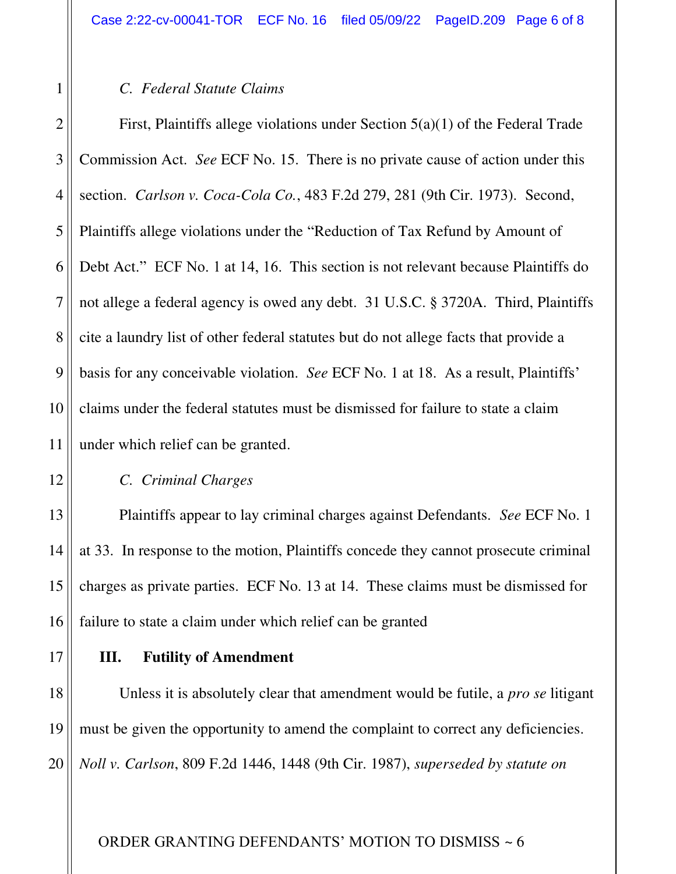## *C. Federal Statute Claims*

2 3 4 5 6 7 8 9 10 11 First, Plaintiffs allege violations under Section 5(a)(1) of the Federal Trade Commission Act. *See* ECF No. 15. There is no private cause of action under this section. *Carlson v. Coca-Cola Co.*, 483 F.2d 279, 281 (9th Cir. 1973). Second, Plaintiffs allege violations under the "Reduction of Tax Refund by Amount of Debt Act." ECF No. 1 at 14, 16. This section is not relevant because Plaintiffs do not allege a federal agency is owed any debt. 31 U.S.C. § 3720A. Third, Plaintiffs cite a laundry list of other federal statutes but do not allege facts that provide a basis for any conceivable violation. *See* ECF No. 1 at 18. As a result, Plaintiffs' claims under the federal statutes must be dismissed for failure to state a claim under which relief can be granted.

16

17

1

### *C. Criminal Charges*

 Plaintiffs appear to lay criminal charges against Defendants. *See* ECF No. 1 at 33. In response to the motion, Plaintiffs concede they cannot prosecute criminal charges as private parties. ECF No. 13 at 14. These claims must be dismissed for failure to state a claim under which relief can be granted

## **III. Futility of Amendment**

18 19 20 Unless it is absolutely clear that amendment would be futile, a *pro se* litigant must be given the opportunity to amend the complaint to correct any deficiencies. *Noll v. Carlson*, 809 F.2d 1446, 1448 (9th Cir. 1987), *superseded by statute on*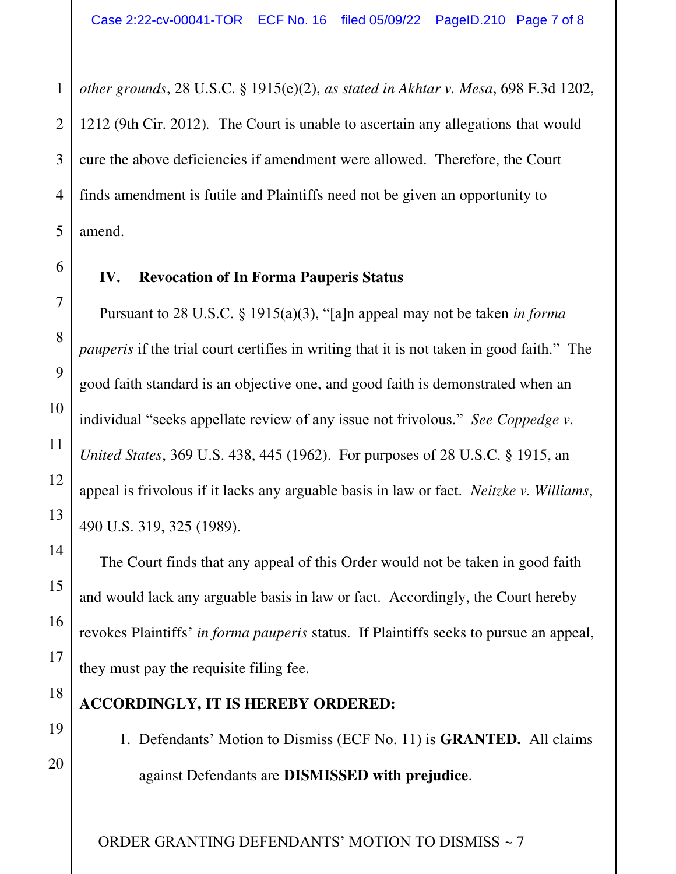*other grounds*, 28 U.S.C. § 1915(e)(2), *as stated in Akhtar v. Mesa*, 698 F.3d 1202, 1212 (9th Cir. 2012)*.* The Court is unable to ascertain any allegations that would cure the above deficiencies if amendment were allowed. Therefore, the Court finds amendment is futile and Plaintiffs need not be given an opportunity to amend.

# **IV. Revocation of In Forma Pauperis Status**

Pursuant to 28 U.S.C. § 1915(a)(3), "[a]n appeal may not be taken *in forma pauperis* if the trial court certifies in writing that it is not taken in good faith." The good faith standard is an objective one, and good faith is demonstrated when an individual "seeks appellate review of any issue not frivolous." *See Coppedge v. United States*, 369 U.S. 438, 445 (1962). For purposes of 28 U.S.C. § 1915, an appeal is frivolous if it lacks any arguable basis in law or fact. *Neitzke v. Williams*, 490 U.S. 319, 325 (1989).

The Court finds that any appeal of this Order would not be taken in good faith and would lack any arguable basis in law or fact. Accordingly, the Court hereby revokes Plaintiffs' *in forma pauperis* status. If Plaintiffs seeks to pursue an appeal, they must pay the requisite filing fee.

# **ACCORDINGLY, IT IS HEREBY ORDERED:**

1. Defendants' Motion to Dismiss (ECF No. 11) is **GRANTED.** All claims against Defendants are **DISMISSED with prejudice**.

ORDER GRANTING DEFENDANTS' MOTION TO DISMISS ~ 7

20

1